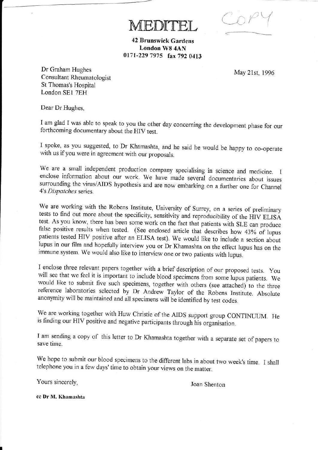$CoPY$ 

42 Brunswick Gardens London W8 4AN 0171-229 7975 fax 792 0413

AEDITEL

May 21st, 1996

Dr Graham Hughes Consultant Rheumatologist St Thomas's Hospital London SEI 7EH

Dear Dr Hughes,

<sup>I</sup>am glad I was able to speak to you the other day conceming the development phase for our forthcoming documentary about the HIV test.

<sup>I</sup>spoke, as you suggested, to Dr Khamashta, and he said he would be happy to co\_operate with us ifyou were in agreement with our proposals.

We are a small independent production company specialising in science and medicine. I enclose information about our work. We have made several documentaries about issues surrounding the virus/AIDS hypothesis and are now embarking on a further one for Channel 4's Dispatches series.

We are working with the Robens Institute, University of Surrey, on a series of preliminary tests to find out more about the specificity, sensitivity and reproducibility of the HIV ELISA test. As you know, there has been some work on the fact that patients with SLE can produce false positive results when tested. (See enclosed article that describes how 43% of lupus patients tested HIV positive after an ELISA test). We would like to include a section about lupus in our film and hopefully interview you or Dr Khamashta on the effect lupus has on the immune system. We would also like to interview one or two patients with lupus.

I enclose three relevant papers together with a brief description of our proposed tests. You will see that we feel it is important to include blood specimens from some lupus patients. We would like to submit five such specimens, together with others (see attached) to the three reference laboratories selected by Dr Andrew Taylor of the Robens Institute. Absolute anonymity will be maintained and all specimens will be identified by test codes.

We are working together with Huw Christie of the AIDS support group CONTINUUM. He is finding our HIV positive and negative participants through his organisation.

<sup>I</sup>am sending a copy of this letter to Dr Khamashta together with a separate set of papers to save time.

We hope to submit our blood specimens to the different labs in about two week's time. I shall telephone you in a few days' time to obtain your views on the matter.

Yours sincerely,

Joan Shenton

cc Dr M. Khamashta